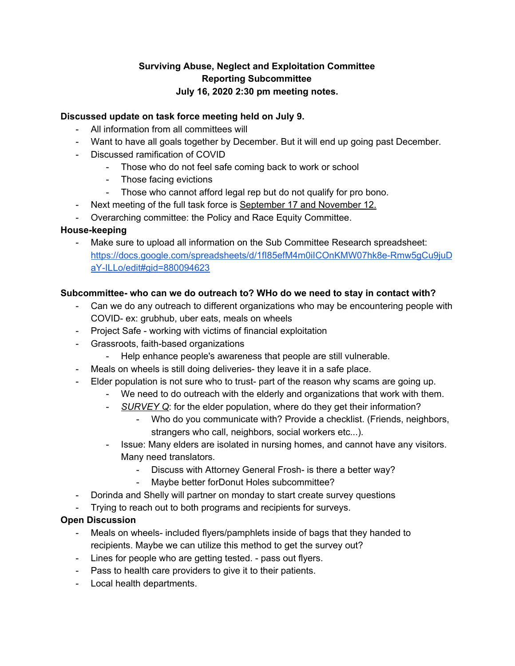# **Surviving Abuse, Neglect and Exploitation Committee Reporting Subcommittee July 16, 2020 2:30 pm meeting notes.**

## **Discussed update on task force meeting held on July 9.**

- All information from all committees will
- Want to have all goals together by December. But it will end up going past December.
- Discussed ramification of COVID
	- Those who do not feel safe coming back to work or school
	- Those facing evictions
	- Those who cannot afford legal rep but do not qualify for pro bono.
- Next meeting of the full task force is September 17 and November 12.
- Overarching committee: the Policy and Race Equity Committee.

### **House-keeping**

- Make sure to upload all information on the Sub Committee Research spreadsheet: [https://docs.google.com/spreadsheets/d/1fI85efM4m0iICOnKMW07hk8e-Rmw5gCu9juD](https://docs.google.com/spreadsheets/d/1fI85efM4m0iICOnKMW07hk8e-Rmw5gCu9juDaY-ILLo/edit#gid=880094623) [aY-ILLo/edit#gid=880094623](https://docs.google.com/spreadsheets/d/1fI85efM4m0iICOnKMW07hk8e-Rmw5gCu9juDaY-ILLo/edit#gid=880094623)

#### **Subcommittee- who can we do outreach to? WHo do we need to stay in contact with?**

- Can we do any outreach to different organizations who may be encountering people with COVID- ex: grubhub, uber eats, meals on wheels
- Project Safe working with victims of financial exploitation
- Grassroots, faith-based organizations
	- Help enhance people's awareness that people are still vulnerable.
- Meals on wheels is still doing deliveries- they leave it in a safe place.
- Elder population is not sure who to trust- part of the reason why scams are going up.
	- We need to do outreach with the elderly and organizations that work with them.
	- *SURVEY Q*: for the elder population, where do they get their information?
		- Who do you communicate with? Provide a checklist. (Friends, neighbors, strangers who call, neighbors, social workers etc...).
	- Issue: Many elders are isolated in nursing homes, and cannot have any visitors. Many need translators.
		- Discuss with Attorney General Frosh- is there a better way?
			- Maybe better forDonut Holes subcommittee?
- Dorinda and Shelly will partner on monday to start create survey questions
- Trying to reach out to both programs and recipients for surveys.

## **Open Discussion**

- Meals on wheels- included flyers/pamphlets inside of bags that they handed to recipients. Maybe we can utilize this method to get the survey out?
- Lines for people who are getting tested. pass out flyers.
- Pass to health care providers to give it to their patients.
- Local health departments.